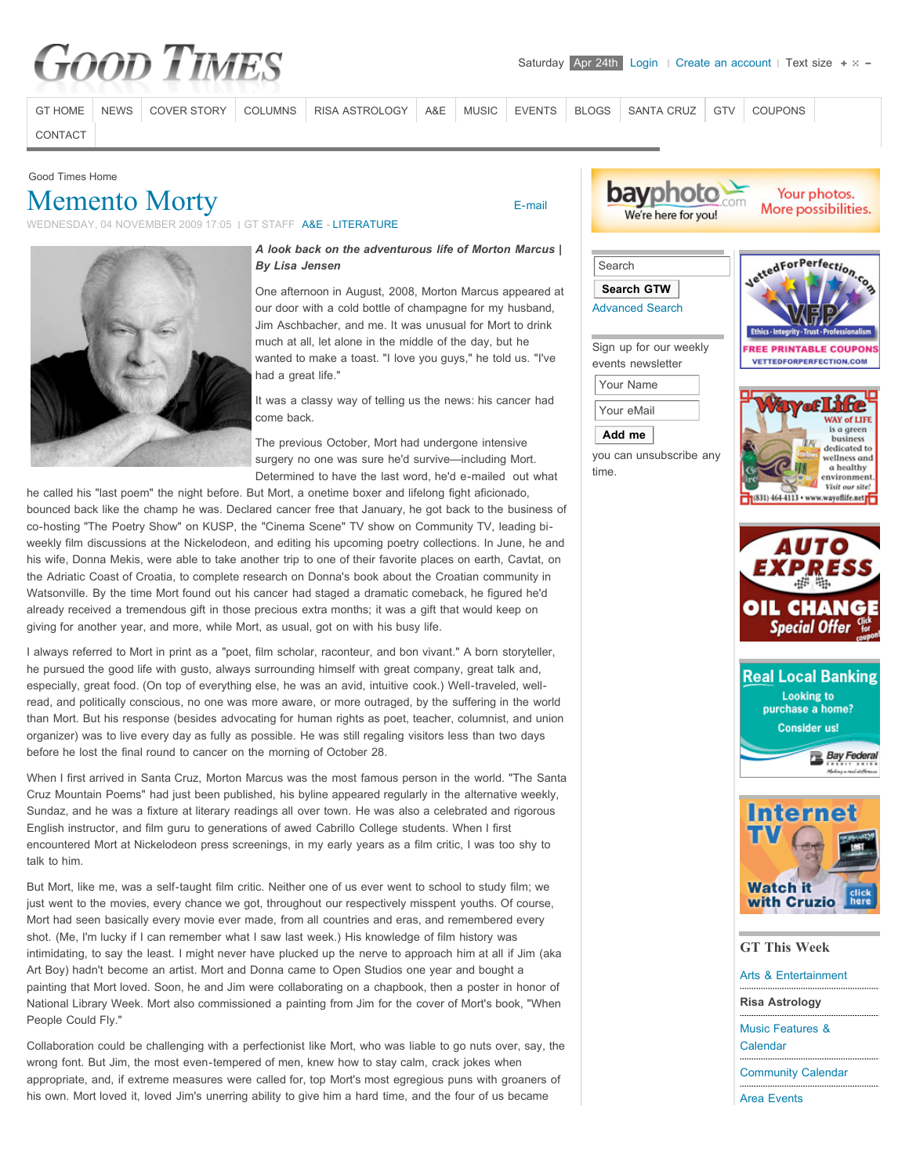# **Good Times**

[GT HOME](http://www.goodtimessantacruz.com/) [NEWS](http://www.goodtimessantacruz.com/santa-cruz-news.html) [COVER STORY](http://www.goodtimessantacruz.com/good-times-cover-stories.html) [COLUMNS](http://www.goodtimessantacruz.com/santa-cruz-columns-commentary-oped.html) [RISA ASTROLOGY](http://www.goodtimessantacruz.com/risa-astrology.html) [A&E](http://www.goodtimessantacruz.com/santa-cruz-arts-entertainment-lifestyles.html) [MUSIC](http://www.goodtimessantacruz.com/santa-cruz-area-music.html) [EVENTS](http://www.goodtimessantacruz.com/santa-cruz-area-events.html) [BLOGS](http://www.goodtimessantacruz.com/santa-cruz-blogs-commentary.html) [SANTA CRUZ](http://www.goodtimessantacruz.com/all-about-santa-cruz-activities-visitors-guide.html) [GTV](http://www.goodtimessantacruz.com/gtv-santa-cruz-videos.html) [COUPONS](http://www.goodtimessantacruz.com/all-about-santa-cruz-activities-visitors-guide/coupons.html)

 [E-mail](http://www.goodtimessantacruz.com/component/mailto/?tmpl=component&link=aHR0cDovL3d3dy5nb29kdGltZXNzYW50YWNydXouY29tL3NhbnRhLWNydXotYXJ0cy1lbnRlcnRhaW5tZW50LWxpZmVzdHlsZXMvbGl0ZXJhdHVyZS1wb2V0cnktYm9vay1yZXZpZXdzLzI5OS1tZW1lbnRvLW1vcnR5LS5odG1s)

[CONTACT](http://www.goodtimessantacruz.com/santa-cruz-good-times-contacts.html)

#### Good Times Home

## [Memento Morty](http://www.goodtimessantacruz.com/santa-cruz-arts-entertainment-lifestyles/literature-poetry-book-reviews/299-memento-morty-.html)

WEDNESDAY, 04 NOVEMBER 2009 17:05 I GT STAFF [A&E](http://www.goodtimessantacruz.com/santa-cruz-arts-entertainment.html) - [LITERATURE](http://www.goodtimessantacruz.com/santa-cruz-arts-entertainment-lifestyles/literature-poetry-book-reviews.html)



#### *A look back on the adventurous life of Morton Marcus | By Lisa Jensen*

One afternoon in August, 2008, Morton Marcus appeared at our door with a cold bottle of champagne for my husband, Jim Aschbacher, and me. It was unusual for Mort to drink much at all, let alone in the middle of the day, but he wanted to make a toast. "I love you guys," he told us. "I've had a great life."

It was a classy way of telling us the news: his cancer had come back.

The previous October, Mort had undergone intensive surgery no one was sure he'd survive—including Mort. Determined to have the last word, he'd e-mailed out what

he called his "last poem" the night before. But Mort, a onetime boxer and lifelong fight aficionado, bounced back like the champ he was. Declared cancer free that January, he got back to the business of co-hosting "The Poetry Show" on KUSP, the "Cinema Scene" TV show on Community TV, leading biweekly film discussions at the Nickelodeon, and editing his upcoming poetry collections. In June, he and his wife, Donna Mekis, were able to take another trip to one of their favorite places on earth, Cavtat, on the Adriatic Coast of Croatia, to complete research on Donna's book about the Croatian community in Watsonville. By the time Mort found out his cancer had staged a dramatic comeback, he figured he'd already received a tremendous gift in those precious extra months; it was a gift that would keep on giving for another year, and more, while Mort, as usual, got on with his busy life.

I always referred to Mort in print as a "poet, film scholar, raconteur, and bon vivant." A born storyteller, he pursued the good life with gusto, always surrounding himself with great company, great talk and, especially, great food. (On top of everything else, he was an avid, intuitive cook.) Well-traveled, wellread, and politically conscious, no one was more aware, or more outraged, by the suffering in the world than Mort. But his response (besides advocating for human rights as poet, teacher, columnist, and union organizer) was to live every day as fully as possible. He was still regaling visitors less than two days before he lost the final round to cancer on the morning of October 28.

When I first arrived in Santa Cruz, Morton Marcus was the most famous person in the world. "The Santa Cruz Mountain Poems" had just been published, his byline appeared regularly in the alternative weekly, Sundaz, and he was a fixture at literary readings all over town. He was also a celebrated and rigorous English instructor, and film guru to generations of awed Cabrillo College students. When I first encountered Mort at Nickelodeon press screenings, in my early years as a film critic, I was too shy to talk to him.

But Mort, like me, was a self-taught film critic. Neither one of us ever went to school to study film; we just went to the movies, every chance we got, throughout our respectively misspent youths. Of course, Mort had seen basically every movie ever made, from all countries and eras, and remembered every shot. (Me, I'm lucky if I can remember what I saw last week.) His knowledge of film history was intimidating, to say the least. I might never have plucked up the nerve to approach him at all if Jim (aka Art Boy) hadn't become an artist. Mort and Donna came to Open Studios one year and bought a painting that Mort loved. Soon, he and Jim were collaborating on a chapbook, then a poster in honor of National Library Week. Mort also commissioned a painting from Jim for the cover of Mort's book, "When People Could Fly."

Collaboration could be challenging with a perfectionist like Mort, who was liable to go nuts over, say, the wrong font. But Jim, the most even-tempered of men, knew how to stay calm, crack jokes when appropriate, and, if extreme measures were called for, top Mort's most egregious puns with groaners of his own. Mort loved it, loved Jim's unerring ability to give him a hard time, and the four of us became



Your photos. More possibilities.





Sign up for our weekly events newsletter Your Name

Your eMail



you can unsubscribe any time.









### **GT This Week**

[Arts & Entertainment](http://www.goodtimessantacruz.com/santa-cruz-arts-entertainment.html) **[Risa Astrology](http://www.goodtimessantacruz.com/santa-cruz-columns-commentary-oped/good-times-astrology-.html)** [Music Features &](http://www.goodtimessantacruz.com/santa-cruz-music-events.html) Calendar [Community Calendar](http://www.goodtimessantacruz.com/santa-cruz-community-calendar/day.listevents/2010/04/24/-.html)

[Area Events](http://www.goodtimessantacruz.com/santa-cruz-area-events.html)